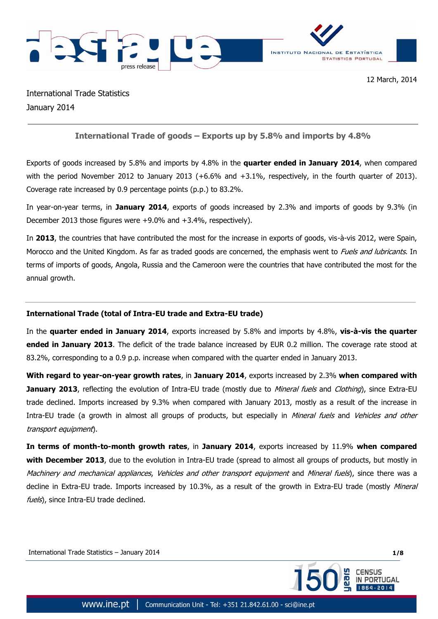

International Trade Statistics January 2014

# **International Trade of goods – Exports up by 5.8% and imports by 4.8%**

Exports of goods increased by 5.8% and imports by 4.8% in the **quarter ended in January 2014**, when compared with the period November 2012 to January 2013 (+6.6% and +3.1%, respectively, in the fourth quarter of 2013). Coverage rate increased by 0.9 percentage points (p.p.) to 83.2%.

In year-on-year terms, in **January 2014**, exports of goods increased by 2.3% and imports of goods by 9.3% (in December 2013 those figures were +9.0% and +3.4%, respectively).

In **2013**, the countries that have contributed the most for the increase in exports of goods, vis-à-vis 2012, were Spain, Morocco and the United Kingdom. As far as traded goods are concerned, the emphasis went to *Fuels and lubricants*. In terms of imports of goods, Angola, Russia and the Cameroon were the countries that have contributed the most for the annual growth.

## **International Trade (total of Intra-EU trade and Extra-EU trade)**

In the **quarter ended in January 2014**, exports increased by 5.8% and imports by 4.8%, **vis-à-vis the quarter ended in January 2013**. The deficit of the trade balance increased by EUR 0.2 million. The coverage rate stood at 83.2%, corresponding to a 0.9 p.p. increase when compared with the quarter ended in January 2013.

**With regard to year-on-year growth rates**, in **January 2014**, exports increased by 2.3% **when compared with January 2013**, reflecting the evolution of Intra-EU trade (mostly due to Mineral fuels and Clothing), since Extra-EU trade declined. Imports increased by 9.3% when compared with January 2013, mostly as a result of the increase in Intra-EU trade (a growth in almost all groups of products, but especially in *Mineral fuels* and *Vehicles and other* transport equipment).

**In terms of month-to-month growth rates**, in **January 2014**, exports increased by 11.9% **when compared with December 2013**, due to the evolution in Intra-EU trade (spread to almost all groups of products, but mostly in Machinery and mechanical appliances, Vehicles and other transport equipment and Mineral fuels), since there was a decline in Extra-EU trade. Imports increased by 10.3%, as a result of the growth in Extra-EU trade (mostly Mineral fuels), since Intra-EU trade declined.

International Trade Statistics – January 2014 **1/8**

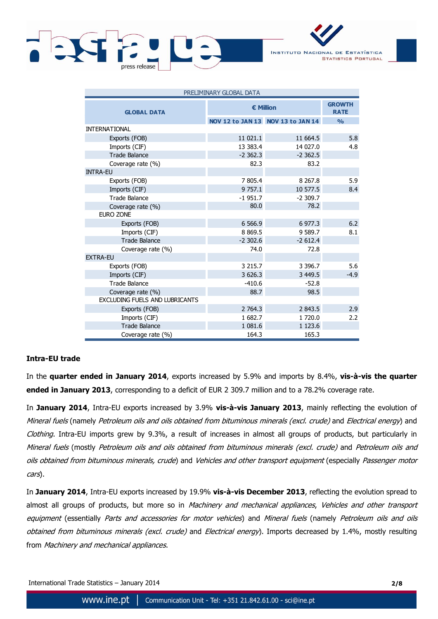



| PRELIMINARY GLOBAL DATA        |                  |                                   |               |  |  |  |  |
|--------------------------------|------------------|-----------------------------------|---------------|--|--|--|--|
| <b>GLOBAL DATA</b>             | <b>€ Million</b> | <b>GROWTH</b><br><b>RATE</b>      |               |  |  |  |  |
|                                |                  | NOV 12 to JAN 13 NOV 13 to JAN 14 | $\frac{0}{0}$ |  |  |  |  |
| <b>INTERNATIONAL</b>           |                  |                                   |               |  |  |  |  |
| Exports (FOB)                  | 11 021.1         | 11 664.5                          | 5.8           |  |  |  |  |
| Imports (CIF)                  | 13 383.4         | 14 027.0                          | 4.8           |  |  |  |  |
| <b>Trade Balance</b>           | $-2,362.3$       | $-2,362.5$                        |               |  |  |  |  |
| Coverage rate (%)              | 82.3             | 83.2                              |               |  |  |  |  |
| <b>INTRA-EU</b>                |                  |                                   |               |  |  |  |  |
| Exports (FOB)                  | 7 805.4          | 8 2 6 7 . 8                       | 5.9           |  |  |  |  |
| Imports (CIF)                  | 9 7 5 7 .1       | 10 577.5                          | 8.4           |  |  |  |  |
| <b>Trade Balance</b>           | $-1951.7$        | $-2309.7$                         |               |  |  |  |  |
| Coverage rate (%)              | 80.0             | 78.2                              |               |  |  |  |  |
| <b>EURO ZONE</b>               |                  |                                   |               |  |  |  |  |
| Exports (FOB)                  | 6 5 6 6 .9       | 6 977.3                           | 6.2           |  |  |  |  |
| Imports (CIF)                  | 8 8 6 9.5        | 9 589.7                           | 8.1           |  |  |  |  |
| <b>Trade Balance</b>           | $-2,302.6$       | $-2612.4$                         |               |  |  |  |  |
| Coverage rate (%)              | 74.0             | 72.8                              |               |  |  |  |  |
| <b>EXTRA-EU</b>                |                  |                                   |               |  |  |  |  |
| Exports (FOB)                  | 3 2 1 5 . 7      | 3 3 9 6.7                         | 5.6           |  |  |  |  |
| Imports (CIF)                  | 3 626.3          | 3 4 4 9.5                         | $-4.9$        |  |  |  |  |
| <b>Trade Balance</b>           | $-410.6$         | $-52.8$                           |               |  |  |  |  |
| Coverage rate (%)              | 88.7             | 98.5                              |               |  |  |  |  |
| EXCLUDING FUELS AND LUBRICANTS |                  |                                   |               |  |  |  |  |
| Exports (FOB)                  | 2 764.3          | 2 843.5                           | 2.9           |  |  |  |  |
| Imports (CIF)                  | 1682.7           | 1 720.0                           | 2.2           |  |  |  |  |
| <b>Trade Balance</b>           | 1 081.6          | 1 1 2 3 . 6                       |               |  |  |  |  |
| Coverage rate (%)              | 164.3            | 165.3                             |               |  |  |  |  |

### **Intra-EU trade**

In the **quarter ended in January 2014**, exports increased by 5.9% and imports by 8.4%, **vis-à-vis the quarter ended in January 2013**, corresponding to a deficit of EUR 2 309.7 million and to a 78.2% coverage rate.

In **January 2014**, Intra-EU exports increased by 3.9% **vis-à-vis January 2013**, mainly reflecting the evolution of Mineral fuels (namely Petroleum oils and oils obtained from bituminous minerals (excl. crude) and Electrical energy) and Clothing. Intra-EU imports grew by 9.3%, a result of increases in almost all groups of products, but particularly in Mineral fuels (mostly Petroleum oils and oils obtained from bituminous minerals (excl. crude) and Petroleum oils and oils obtained from bituminous minerals, crude) and Vehicles and other transport equipment (especially Passenger motor cars).

In **January 2014**, Intra-EU exports increased by 19.9% **vis-à-vis December 2013**, reflecting the evolution spread to almost all groups of products, but more so in Machinery and mechanical appliances, Vehicles and other transport equipment (essentially Parts and accessories for motor vehicles) and Mineral fuels (namely Petroleum oils and oils obtained from bituminous minerals (excl. crude) and Electrical energy). Imports decreased by 1.4%, mostly resulting from Machinery and mechanical appliances.

International Trade Statistics – January 2014 **2/8**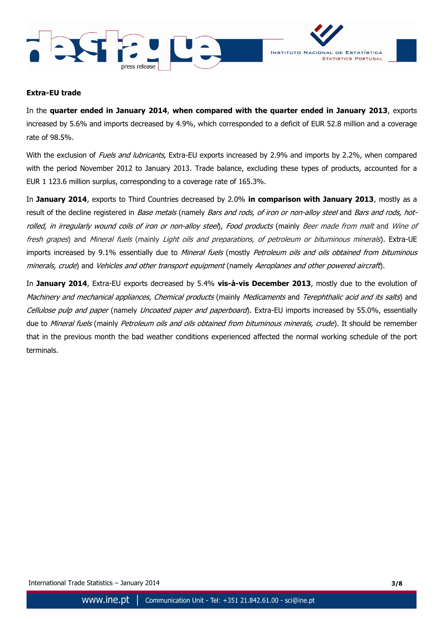



### **Extra-EU trade**

In the **quarter ended in January 2014**, **when compared with the quarter ended in January 2013**, exports increased by 5.6% and imports decreased by 4.9%, which corresponded to a deficit of EUR 52.8 million and a coverage rate of 98.5%.

With the exclusion of Fuels and lubricants, Extra-EU exports increased by 2.9% and imports by 2.2%, when compared with the period November 2012 to January 2013. Trade balance, excluding these types of products, accounted for a EUR 1 123.6 million surplus, corresponding to a coverage rate of 165.3%.

In **January 2014**, exports to Third Countries decreased by 2.0% **in comparison with January 2013**, mostly as a result of the decline registered in Base metals (namely Bars and rods, of iron or non-alloy steel and Bars and rods, hotrolled, in irregularly wound coils of iron or non-alloy steel), Food products (mainly Beer made from malt and Wine of fresh grapes) and Mineral fuels (mainly Light oils and preparations, of petroleum or bituminous minerals). Extra-UE imports increased by 9.1% essentially due to Mineral fuels (mostly Petroleum oils and oils obtained from bituminous minerals, crude) and Vehicles and other transport equipment (namely Aeroplanes and other powered aircraft).

In **January 2014**, Extra-EU exports decreased by 5.4% **vis-à-vis December 2013**, mostly due to the evolution of Machinery and mechanical appliances, Chemical products (mainly Medicaments and Terephthalic acid and its salts) and Cellulose pulp and paper (namely Uncoated paper and paperboard). Extra-EU imports increased by 55.0%, essentially due to Mineral fuels (mainly Petroleum oils and oils obtained from bituminous minerals, crude). It should be remember that in the previous month the bad weather conditions experienced affected the normal working schedule of the port terminals.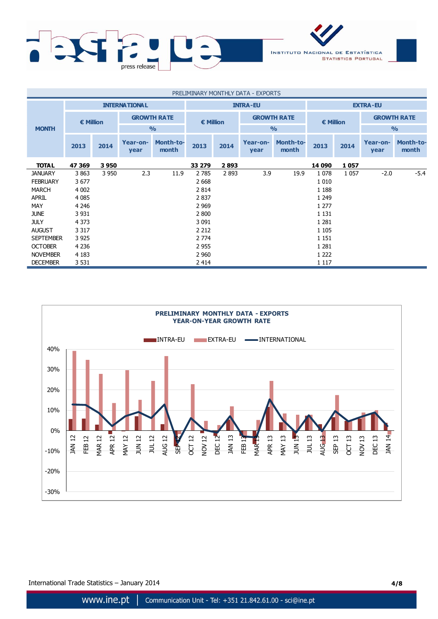

| PRELIMINARY MONTHLY DATA - EXPORTS |                      |         |                                     |                           |                    |      |                                     |                           |                    |         |                    |                           |
|------------------------------------|----------------------|---------|-------------------------------------|---------------------------|--------------------|------|-------------------------------------|---------------------------|--------------------|---------|--------------------|---------------------------|
|                                    | <b>INTERNATIONAL</b> |         |                                     | <b>INTRA-EU</b>           |                    |      |                                     | <b>EXTRA-EU</b>           |                    |         |                    |                           |
|                                    | $\epsilon$ Million   |         | <b>GROWTH RATE</b><br>$\frac{0}{0}$ |                           | $\epsilon$ Million |      | <b>GROWTH RATE</b><br>$\frac{0}{0}$ |                           | $\epsilon$ Million |         | <b>GROWTH RATE</b> |                           |
| <b>MONTH</b>                       |                      |         |                                     |                           |                    |      |                                     |                           |                    |         | $\frac{O}{O}$      |                           |
|                                    | 2013                 | 2014    | Year-on-<br>year                    | <b>Month-to-</b><br>month | 2013               | 2014 | Year-on-<br>year                    | <b>Month-to-</b><br>month | 2013               | 2014    | Year-on-<br>year   | <b>Month-to-</b><br>month |
| <b>TOTAL</b>                       | 47 369               | 3950    |                                     |                           | 33 279             | 2893 |                                     |                           | 14 090             | 1057    |                    |                           |
| <b>JANUARY</b>                     | 3863                 | 3 9 5 0 | 2.3                                 | 11.9                      | 2 7 8 5            | 2893 | 3.9                                 | 19.9                      | 1 0 7 8            | 1 0 5 7 | $-2.0$             | $-5.4$                    |
| <b>FEBRUARY</b>                    | 3677                 |         |                                     |                           | 2 6 6 8            |      |                                     |                           | 1 0 1 0            |         |                    |                           |
| <b>MARCH</b>                       | 4 0 0 2              |         |                                     |                           | 2 8 1 4            |      |                                     |                           | 1 1 8 8            |         |                    |                           |
| <b>APRIL</b>                       | 4 0 8 5              |         |                                     |                           | 2837               |      |                                     |                           | 1 2 4 9            |         |                    |                           |
| <b>MAY</b>                         | 4 2 4 6              |         |                                     |                           | 2 9 6 9            |      |                                     |                           | 1 2 7 7            |         |                    |                           |
| <b>JUNE</b>                        | 3 9 3 1              |         |                                     |                           | 2 800              |      |                                     |                           | 1 1 3 1            |         |                    |                           |
| <b>JULY</b>                        | 4 3 7 3              |         |                                     |                           | 3 0 9 1            |      |                                     |                           | 1 2 8 1            |         |                    |                           |
| <b>AUGUST</b>                      | 3 3 1 7              |         |                                     |                           | 2 2 1 2            |      |                                     |                           | 1 1 0 5            |         |                    |                           |
| <b>SEPTEMBER</b>                   | 3 9 2 5              |         |                                     |                           | 2 7 7 4            |      |                                     |                           | 1 1 5 1            |         |                    |                           |
| <b>OCTOBER</b>                     | 4 2 3 6              |         |                                     |                           | 2 9 5 5            |      |                                     |                           | 1 2 8 1            |         |                    |                           |
| <b>NOVEMBER</b>                    | 4 1 8 3              |         |                                     |                           | 2 9 6 0            |      |                                     |                           | 1 2 2 2            |         |                    |                           |
| <b>DECEMBER</b>                    | 3 5 3 1              |         |                                     |                           | 2 4 1 4            |      |                                     |                           | 1 1 1 7            |         |                    |                           |



International Trade Statistics – January 2014 **4/8**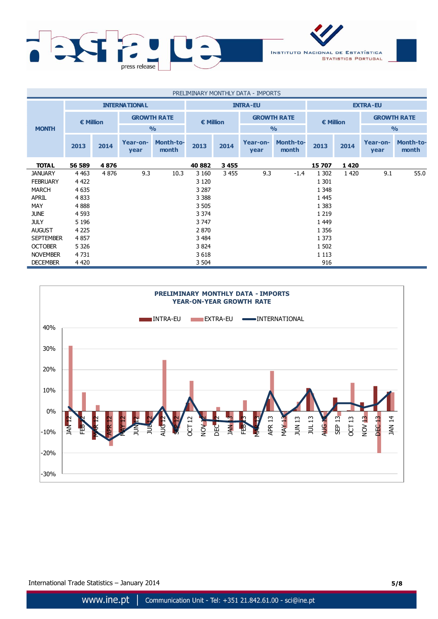

| PRELIMINARY MONTHLY DATA - IMPORTS |                      |         |                                     |                           |                  |         |                                     |                    |                    |      |                    |                    |
|------------------------------------|----------------------|---------|-------------------------------------|---------------------------|------------------|---------|-------------------------------------|--------------------|--------------------|------|--------------------|--------------------|
|                                    | <b>INTERNATIONAL</b> |         |                                     | <b>INTRA-EU</b>           |                  |         |                                     | <b>EXTRA-EU</b>    |                    |      |                    |                    |
|                                    | $\epsilon$ Million   |         | <b>GROWTH RATE</b><br>$\frac{0}{0}$ |                           | <b>€ Million</b> |         | <b>GROWTH RATE</b><br>$\frac{0}{0}$ |                    | $\epsilon$ Million |      | <b>GROWTH RATE</b> |                    |
| <b>MONTH</b>                       |                      |         |                                     |                           |                  |         |                                     |                    |                    |      | $\frac{9}{0}$      |                    |
|                                    | 2013                 | 2014    | Year-on-<br>year                    | <b>Month-to-</b><br>month | 2013             | 2014    | Year-on-<br>year                    | Month-to-<br>month | 2013               | 2014 | Year-on-<br>year   | Month-to-<br>month |
| <b>TOTAL</b>                       | 56 589               | 4876    |                                     |                           | 40 882           | 3455    |                                     |                    | 15 707             | 1420 |                    |                    |
| <b>JANUARY</b>                     | 4 4 6 3              | 4 8 7 6 | 9.3                                 | 10.3                      | 3 1 6 0          | 3 4 5 5 | 9.3                                 | $-1.4$             | 1 3 0 2            | 1420 | 9.1                | 55.0               |
| <b>FEBRUARY</b>                    | 4 4 2 2              |         |                                     |                           | 3 1 2 0          |         |                                     |                    | 1 301              |      |                    |                    |
| <b>MARCH</b>                       | 4 6 3 5              |         |                                     |                           | 3 2 8 7          |         |                                     |                    | 1 3 4 8            |      |                    |                    |
| <b>APRIL</b>                       | 4 8 3 3              |         |                                     |                           | 3 3 8 8          |         |                                     |                    | 1 4 4 5            |      |                    |                    |
| MAY                                | 4888                 |         |                                     |                           | 3 5 0 5          |         |                                     |                    | 1 3 8 3            |      |                    |                    |
| <b>JUNE</b>                        | 4 5 9 3              |         |                                     |                           | 3 3 7 4          |         |                                     |                    | 1 2 1 9            |      |                    |                    |
| <b>JULY</b>                        | 5 1 9 6              |         |                                     |                           | 3 7 4 7          |         |                                     |                    | 1 4 4 9            |      |                    |                    |
| <b>AUGUST</b>                      | 4 2 2 5              |         |                                     |                           | 2 8 7 0          |         |                                     |                    | 1 3 5 6            |      |                    |                    |
| <b>SEPTEMBER</b>                   | 4857                 |         |                                     |                           | 3 4 8 4          |         |                                     |                    | 1 3 7 3            |      |                    |                    |
| <b>OCTOBER</b>                     | 5 3 2 6              |         |                                     |                           | 3 8 24           |         |                                     |                    | 1 502              |      |                    |                    |
| <b>NOVEMBER</b>                    | 4 7 3 1              |         |                                     |                           | 3618             |         |                                     |                    | 1 1 1 3            |      |                    |                    |
| <b>DECEMBER</b>                    | 4 4 2 0              |         |                                     |                           | 3 504            |         |                                     |                    | 916                |      |                    |                    |



International Trade Statistics – January 2014 **5/8**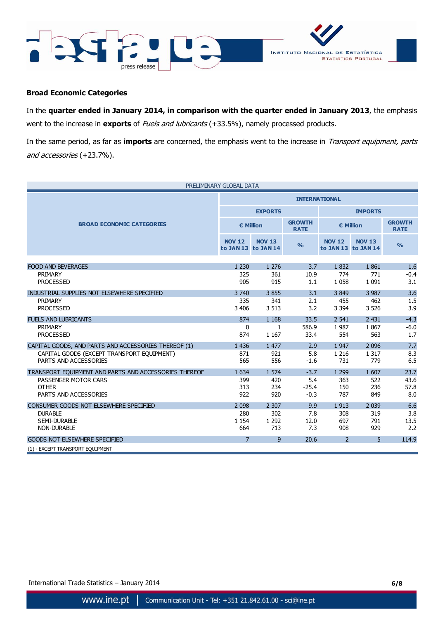



## **Broad Economic Categories**

In the **quarter ended in January 2014, in comparison with the quarter ended in January 2013**, the emphasis went to the increase in **exports** of Fuels and lubricants (+33.5%), namely processed products.

In the same period, as far as **imports** are concerned, the emphasis went to the increase in Transport equipment, parts and accessories (+23.7%).

| PRELIMINARY GLOBAL DATA                               |                      |                                      |                              |                |                                      |                              |  |  |
|-------------------------------------------------------|----------------------|--------------------------------------|------------------------------|----------------|--------------------------------------|------------------------------|--|--|
|                                                       | <b>INTERNATIONAL</b> |                                      |                              |                |                                      |                              |  |  |
|                                                       |                      | <b>EXPORTS</b>                       |                              | <b>IMPORTS</b> |                                      |                              |  |  |
| <b>BROAD ECONOMIC CATEGORIES</b>                      |                      | € Million                            | <b>GROWTH</b><br><b>RATE</b> | € Million      |                                      | <b>GROWTH</b><br><b>RATE</b> |  |  |
|                                                       | <b>NOV 12</b>        | <b>NOV 13</b><br>to JAN 13 to JAN 14 | $\frac{9}{6}$                | <b>NOV 12</b>  | <b>NOV 13</b><br>to JAN 13 to JAN 14 | $\frac{0}{0}$                |  |  |
|                                                       |                      |                                      |                              |                |                                      |                              |  |  |
| <b>FOOD AND BEVERAGES</b>                             | 1 2 3 0              | 1 2 7 6                              | 3.7                          | 1832           | 1861                                 | 1.6                          |  |  |
| <b>PRIMARY</b>                                        | 325                  | 361                                  | 10.9                         | 774            | 771                                  | $-0.4$                       |  |  |
| <b>PROCESSED</b>                                      | 905                  | 915                                  | 1.1                          | 1 0 5 8        | 1 0 9 1                              | 3.1                          |  |  |
| INDUSTRIAL SUPPLIES NOT ELSEWHERE SPECIFIED           | 3 7 4 0              | 3855                                 | 3.1                          | 3849           | 3 9 8 7                              | 3.6                          |  |  |
| PRIMARY                                               | 335                  | 341                                  | 2.1                          | 455            | 462                                  | 1.5                          |  |  |
| <b>PROCESSED</b>                                      | 3 4 0 6              | 3 5 1 3                              | 3.2                          | 3 3 9 4        | 3 5 2 6                              | 3.9                          |  |  |
| <b>FUELS AND LUBRICANTS</b>                           | 874                  | 1 1 6 8                              | 33.5                         | 2 5 4 1        | 2 4 3 1                              | $-4.3$                       |  |  |
| PRIMARY                                               | $\mathbf{0}$         | $\mathbf{1}$                         | 586.9                        | 1987           | 1867                                 | $-6.0$                       |  |  |
| <b>PROCESSED</b>                                      | 874                  | 1 1 6 7                              | 33.4                         | 554            | 563                                  | 1.7                          |  |  |
| CAPITAL GOODS, AND PARTS AND ACCESSORIES THEREOF (1)  | 1 4 3 6              | 1 477                                | 2.9                          | 1 9 4 7        | 2 0 9 6                              | 7.7                          |  |  |
| CAPITAL GOODS (EXCEPT TRANSPORT EQUIPMENT)            | 871                  | 921                                  | 5.8                          | 1 2 1 6        | 1 3 1 7                              | 8.3                          |  |  |
| PARTS AND ACCESSORIES                                 | 565                  | 556                                  | $-1.6$                       | 731            | 779                                  | 6.5                          |  |  |
| TRANSPORT EQUIPMENT AND PARTS AND ACCESSORIES THEREOF | 1 6 3 4              | 1 5 7 4                              | $-3.7$                       | 1 2 9 9        | 1 607                                | 23.7                         |  |  |
| PASSENGER MOTOR CARS                                  | 399                  | 420                                  | 5.4                          | 363            | 522                                  | 43.6                         |  |  |
| <b>OTHER</b>                                          | 313                  | 234                                  | $-25.4$                      | 150            | 236                                  | 57.8                         |  |  |
| PARTS AND ACCESSORIES                                 | 922                  | 920                                  | $-0.3$                       | 787            | 849                                  | 8.0                          |  |  |
| CONSUMER GOODS NOT ELSEWHERE SPECIFIED                | 2 0 9 8              | 2 3 0 7                              | 9.9                          | 1913           | 2 0 3 9                              | 6.6                          |  |  |
| <b>DURABLE</b>                                        | 280                  | 302                                  | 7.8                          | 308            | 319                                  | 3.8                          |  |  |
| <b>SEMI-DURABLE</b>                                   | 1 1 5 4              | 1 2 9 2                              | 12.0                         | 697            | 791                                  | 13.5                         |  |  |
| <b>NON-DURABLE</b>                                    | 664                  | 713                                  | 7.3                          | 908            | 929                                  | 2.2                          |  |  |
| <b>GOODS NOT ELSEWHERE SPECIFIED</b>                  | $\overline{7}$       | 9                                    | 20.6                         | $\overline{2}$ | 5                                    | 114.9                        |  |  |
| (1) - EXCEPT TRANSPORT EQUIPMENT                      |                      |                                      |                              |                |                                      |                              |  |  |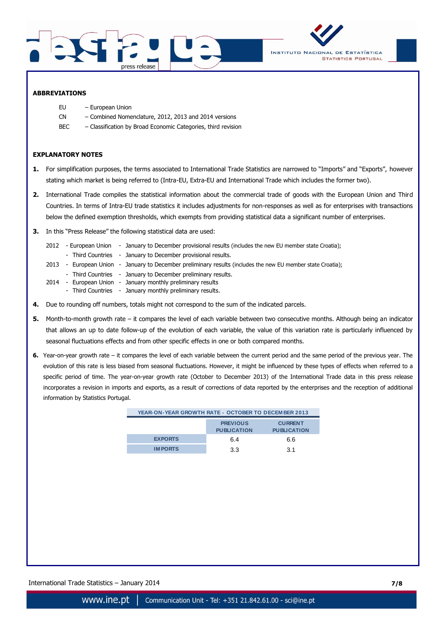



#### **ABBREVIATIONS**

- EU European Union
- CN Combined Nomenclature, 2012, 2013 and 2014 versions
- BEC Classification by Broad Economic Categories, third revision

#### **EXPLANATORY NOTES**

- **1.** For simplification purposes, the terms associated to International Trade Statistics are narrowed to "Imports" and "Exports", however stating which market is being referred to (Intra-EU, Extra-EU and International Trade which includes the former two).
- **2.** International Trade compiles the statistical information about the commercial trade of goods with the European Union and Third Countries. In terms of Intra-EU trade statistics it includes adjustments for non-responses as well as for enterprises with transactions below the defined exemption thresholds, which exempts from providing statistical data a significant number of enterprises.
- **3.** In this "Press Release" the following statistical data are used:
	- 2012 European Union January to December provisional results (includes the new EU member state Croatia);
	- Third Countries January to December provisional results.
	- 2013 European Union January to December preliminary results (includes the new EU member state Croatia);
	- Third Countries January to December preliminary results.
	- 2014 European Union January monthly preliminary results
		- Third Countries January monthly preliminary results.
- **4.** Due to rounding off numbers, totals might not correspond to the sum of the indicated parcels.
- **5.** Month-to-month growth rate it compares the level of each variable between two consecutive months. Although being an indicator that allows an up to date follow-up of the evolution of each variable, the value of this variation rate is particularly influenced by seasonal fluctuations effects and from other specific effects in one or both compared months.
- **6.** Year-on-year growth rate it compares the level of each variable between the current period and the same period of the previous year. The evolution of this rate is less biased from seasonal fluctuations. However, it might be influenced by these types of effects when referred to a specific period of time. The year-on-year growth rate (October to December 2013) of the International Trade data in this press release incorporates a revision in imports and exports, as a result of corrections of data reported by the enterprises and the reception of additional information by Statistics Portugal.

| YEAR-ON-YEAR GROWTH RATE - OCTOBER TO DECEMBER 2013 |                                       |                                      |
|-----------------------------------------------------|---------------------------------------|--------------------------------------|
|                                                     | <b>PREVIOUS</b><br><b>PUBLICATION</b> | <b>CURRENT</b><br><b>PUBLICATION</b> |
| <b>EXPORTS</b>                                      | 6.4                                   | 6.6                                  |
| <b>IMPORTS</b>                                      | 3.3                                   | 3.1                                  |
|                                                     |                                       |                                      |